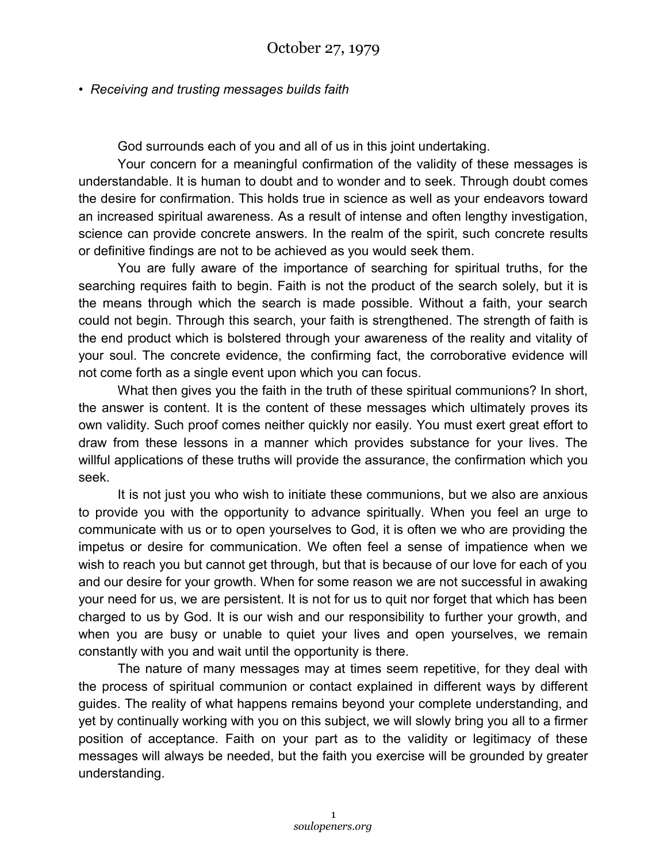## • *Receiving and trusting messages builds faith*

God surrounds each of you and all of us in this joint undertaking.

Your concern for a meaningful confirmation of the validity of these messages is understandable. It is human to doubt and to wonder and to seek. Through doubt comes the desire for confirmation. This holds true in science as well as your endeavors toward an increased spiritual awareness. As a result of intense and often lengthy investigation, science can provide concrete answers. In the realm of the spirit, such concrete results or definitive findings are not to be achieved as you would seek them.

You are fully aware of the importance of searching for spiritual truths, for the searching requires faith to begin. Faith is not the product of the search solely, but it is the means through which the search is made possible. Without a faith, your search could not begin. Through this search, your faith is strengthened. The strength of faith is the end product which is bolstered through your awareness of the reality and vitality of your soul. The concrete evidence, the confirming fact, the corroborative evidence will not come forth as a single event upon which you can focus.

What then gives you the faith in the truth of these spiritual communions? In short, the answer is content. It is the content of these messages which ultimately proves its own validity. Such proof comes neither quickly nor easily. You must exert great effort to draw from these lessons in a manner which provides substance for your lives. The willful applications of these truths will provide the assurance, the confirmation which you seek.

It is not just you who wish to initiate these communions, but we also are anxious to provide you with the opportunity to advance spiritually. When you feel an urge to communicate with us or to open yourselves to God, it is often we who are providing the impetus or desire for communication. We often feel a sense of impatience when we wish to reach you but cannot get through, but that is because of our love for each of you and our desire for your growth. When for some reason we are not successful in awaking your need for us, we are persistent. It is not for us to quit nor forget that which has been charged to us by God. It is our wish and our responsibility to further your growth, and when you are busy or unable to quiet your lives and open yourselves, we remain constantly with you and wait until the opportunity is there.

The nature of many messages may at times seem repetitive, for they deal with the process of spiritual communion or contact explained in different ways by different guides. The reality of what happens remains beyond your complete understanding, and yet by continually working with you on this subject, we will slowly bring you all to a firmer position of acceptance. Faith on your part as to the validity or legitimacy of these messages will always be needed, but the faith you exercise will be grounded by greater understanding.